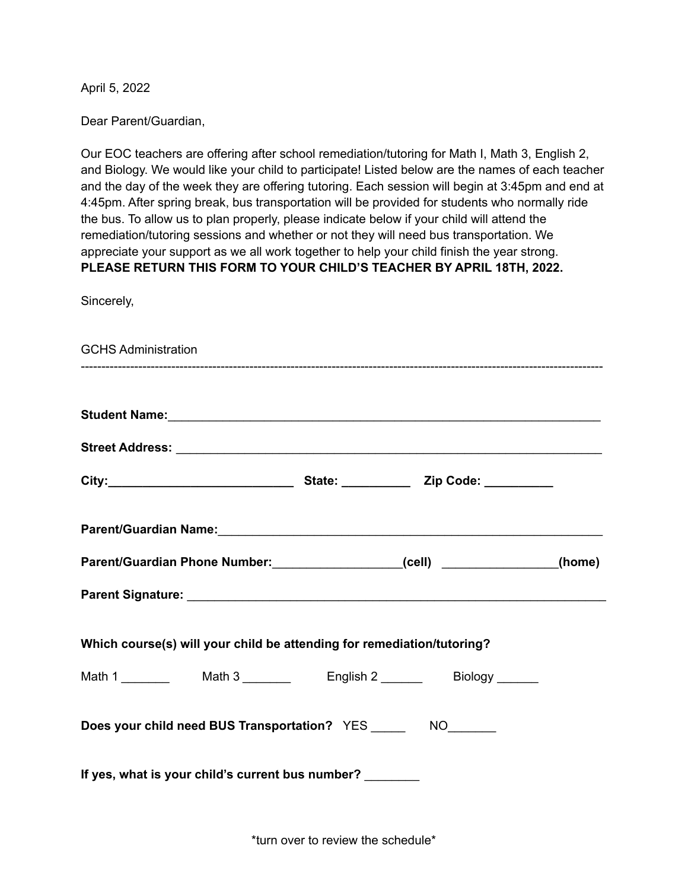April 5, 2022

Dear Parent/Guardian,

Our EOC teachers are offering after school remediation/tutoring for Math I, Math 3, English 2, and Biology. We would like your child to participate! Listed below are the names of each teacher and the day of the week they are offering tutoring. Each session will begin at 3:45pm and end at 4:45pm. After spring break, bus transportation will be provided for students who normally ride the bus. To allow us to plan properly, please indicate below if your child will attend the remediation/tutoring sessions and whether or not they will need bus transportation. We appreciate your support as we all work together to help your child finish the year strong. **PLEASE RETURN THIS FORM TO YOUR CHILD'S TEACHER BY APRIL 18TH, 2022.**

Sincerely,

| <b>GCHS Administration</b>                                                                                                                                                                                                     |  |  |
|--------------------------------------------------------------------------------------------------------------------------------------------------------------------------------------------------------------------------------|--|--|
| Student Name: Student Name: Student Name: Student Name: Student Name: Student Name: Student Name: Student Name: Student Name: Student Name: Student Name: Student Name: Student Name: Student Name: Student Name: Student Name |  |  |
|                                                                                                                                                                                                                                |  |  |
| City: City: 200 2010 City: 200 2010 2010 City:                                                                                                                                                                                 |  |  |
| Parent/Guardian Name: Mannell Annual Mannell Annual Mannell Annual Mannell Annual Mannell Annual Mannell Annu                                                                                                                  |  |  |
| Parent/Guardian Phone Number: ____________________(cell) ______________(home)                                                                                                                                                  |  |  |
|                                                                                                                                                                                                                                |  |  |
| Which course(s) will your child be attending for remediation/tutoring?                                                                                                                                                         |  |  |
|                                                                                                                                                                                                                                |  |  |
| Does your child need BUS Transportation? YES ________ NO_______                                                                                                                                                                |  |  |
| If yes, what is your child's current bus number? ________                                                                                                                                                                      |  |  |

\*turn over to review the schedule\*